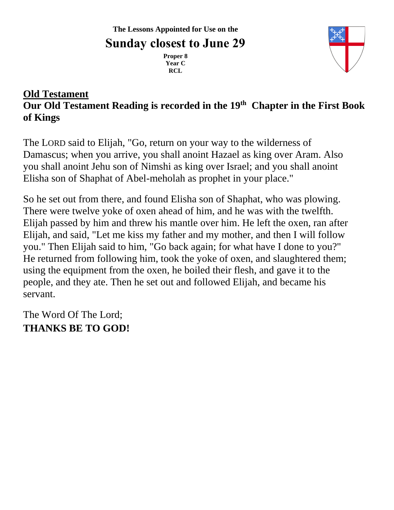**Proper 8 Year C RCL**



### **Old Testament Our Old Testament Reading is recorded in the 19th Chapter in the First Book of Kings**

The LORD said to Elijah, "Go, return on your way to the wilderness of Damascus; when you arrive, you shall anoint Hazael as king over Aram. Also you shall anoint Jehu son of Nimshi as king over Israel; and you shall anoint Elisha son of Shaphat of Abel-meholah as prophet in your place."

So he set out from there, and found Elisha son of Shaphat, who was plowing. There were twelve yoke of oxen ahead of him, and he was with the twelfth. Elijah passed by him and threw his mantle over him. He left the oxen, ran after Elijah, and said, "Let me kiss my father and my mother, and then I will follow you." Then Elijah said to him, "Go back again; for what have I done to you?" He returned from following him, took the yoke of oxen, and slaughtered them; using the equipment from the oxen, he boiled their flesh, and gave it to the people, and they ate. Then he set out and followed Elijah, and became his servant.

The Word Of The Lord; **THANKS BE TO GOD!**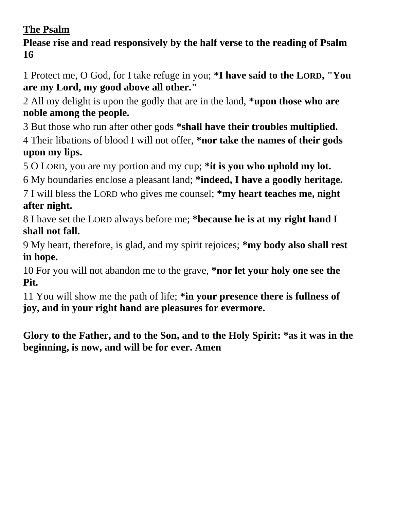## **The Psalm**

**Please rise and read responsively by the half verse to the reading of Psalm 16**

1 Protect me, O God, for I take refuge in you; **\*I have said to the LORD, "You are my Lord, my good above all other."**

2 All my delight is upon the godly that are in the land, **\*upon those who are noble among the people.**

3 But those who run after other gods **\*shall have their troubles multiplied.** 4 Their libations of blood I will not offer, **\*nor take the names of their gods upon my lips.**

5 O LORD, you are my portion and my cup; **\*it is you who uphold my lot.**

6 My boundaries enclose a pleasant land; **\*indeed, I have a goodly heritage.**

7 I will bless the LORD who gives me counsel; **\*my heart teaches me, night after night.**

8 I have set the LORD always before me; **\*because he is at my right hand I shall not fall.**

9 My heart, therefore, is glad, and my spirit rejoices; **\*my body also shall rest in hope.**

10 For you will not abandon me to the grave, **\*nor let your holy one see the Pit.**

11 You will show me the path of life; **\*in your presence there is fullness of joy, and in your right hand are pleasures for evermore.**

**Glory to the Father, and to the Son, and to the Holy Spirit: \*as it was in the beginning, is now, and will be for ever. Amen**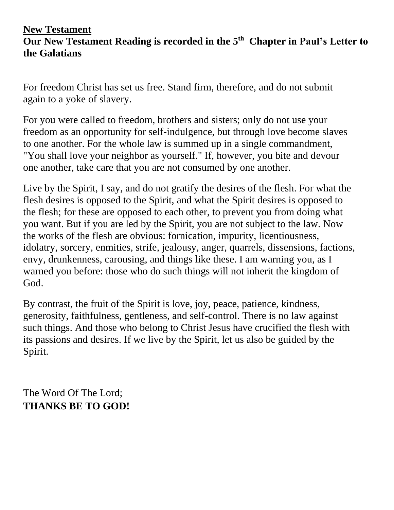#### **New Testament Our New Testament Reading is recorded in the 5 th Chapter in Paul's Letter to the Galatians**

For freedom Christ has set us free. Stand firm, therefore, and do not submit again to a yoke of slavery.

For you were called to freedom, brothers and sisters; only do not use your freedom as an opportunity for self-indulgence, but through love become slaves to one another. For the whole law is summed up in a single commandment, "You shall love your neighbor as yourself." If, however, you bite and devour one another, take care that you are not consumed by one another.

Live by the Spirit, I say, and do not gratify the desires of the flesh. For what the flesh desires is opposed to the Spirit, and what the Spirit desires is opposed to the flesh; for these are opposed to each other, to prevent you from doing what you want. But if you are led by the Spirit, you are not subject to the law. Now the works of the flesh are obvious: fornication, impurity, licentiousness, idolatry, sorcery, enmities, strife, jealousy, anger, quarrels, dissensions, factions, envy, drunkenness, carousing, and things like these. I am warning you, as I warned you before: those who do such things will not inherit the kingdom of God.

By contrast, the fruit of the Spirit is love, joy, peace, patience, kindness, generosity, faithfulness, gentleness, and self-control. There is no law against such things. And those who belong to Christ Jesus have crucified the flesh with its passions and desires. If we live by the Spirit, let us also be guided by the Spirit.

The Word Of The Lord; **THANKS BE TO GOD!**